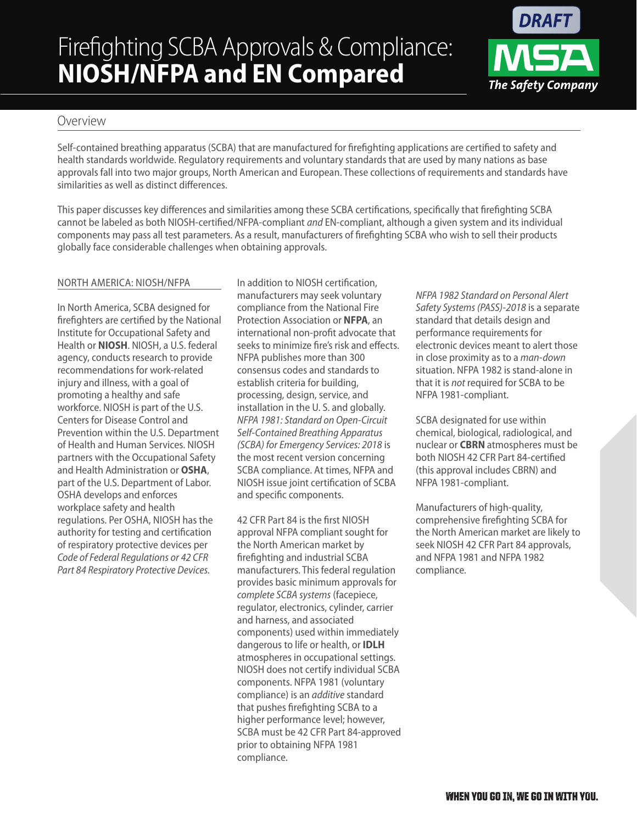# **NIOSH/NFPA and EN Compared**



#### Overview <u>overview</u>

Self-contained breathing apparatus (SCBA) that are manufactured for firefighting applications are certified to safety and health standards worldwide. Regulatory requirements and voluntary standards that are used by many nations as base approvals fall into two major groups, North American and European. These collections of requirements and standards have similarities as well as distinct differences.

This paper discusses key differences and similarities among these SCBA certifications, specifically that firefighting SCBA cannot be labeled as both NIOSH-certified/NFPA-compliant and EN-compliant, although a given system and its individual components may pass all test parameters. As a result, manufacturers of firefighting SCBA who wish to sell their products globally face considerable challenges when obtaining approvals.

#### NORTH AMERICA: NIOSH/NFPA

In North America, SCBA designed for firefighters are certified by the National Institute for Occupational Safety and Health or **NIOSH**. NIOSH, a U.S. federal agency, conducts research to provide recommendations for work-related injury and illness, with a goal of promoting a healthy and safe workforce. NIOSH is part of the U.S. Centers for Disease Control and Prevention within the U.S. Department of Health and Human Services. NIOSH partners with the Occupational Safety and Health Administration or **OSHA**, part of the U.S. Department of Labor. OSHA develops and enforces workplace safety and health regulations. Per OSHA, NIOSH has the authority for testing and certification of respiratory protective devices per Code of Federal Regulations or 42 CFR Part 84 Respiratory Protective Devices.

In addition to NIOSH certification, manufacturers may seek voluntary compliance from the National Fire Protection Association or **NFPA**, an international non-profit advocate that seeks to minimize fire's risk and effects. NFPA publishes more than 300 consensus codes and standards to establish criteria for building, processing, design, service, and installation in the U. S. and globally. NFPA 1981: Standard on Open-Circuit Self-Contained Breathing Apparatus (SCBA) for Emergency Services: 2018 is the most recent version concerning SCBA compliance. At times, NFPA and NIOSH issue joint certification of SCBA and specific components.

42 CFR Part 84 is the first NIOSH approval NFPA compliant sought for the North American market by firefighting and industrial SCBA manufacturers. This federal regulation provides basic minimum approvals for complete SCBA systems (facepiece, regulator, electronics, cylinder, carrier and harness, and associated components) used within immediately dangerous to life or health, or **IDLH** atmospheres in occupational settings. NIOSH does not certify individual SCBA components. NFPA 1981 (voluntary compliance) is an additive standard that pushes firefighting SCBA to a higher performance level; however, SCBA must be 42 CFR Part 84-approved prior to obtaining NFPA 1981 compliance.

NFPA 1982 Standard on Personal Alert Safety Systems (PASS)-2018 is a separate standard that details design and performance requirements for electronic devices meant to alert those in close proximity as to a man-down situation. NFPA 1982 is stand-alone in that it is not required for SCBA to be NFPA 1981-compliant.

SCBA designated for use within chemical, biological, radiological, and nuclear or **CBRN** atmospheres must be both NIOSH 42 CFR Part 84-certified (this approval includes CBRN) and NFPA 1981-compliant.

Manufacturers of high-quality, comprehensive firefighting SCBA for the North American market are likely to seek NIOSH 42 CFR Part 84 approvals, and NFPA 1981 and NFPA 1982 compliance.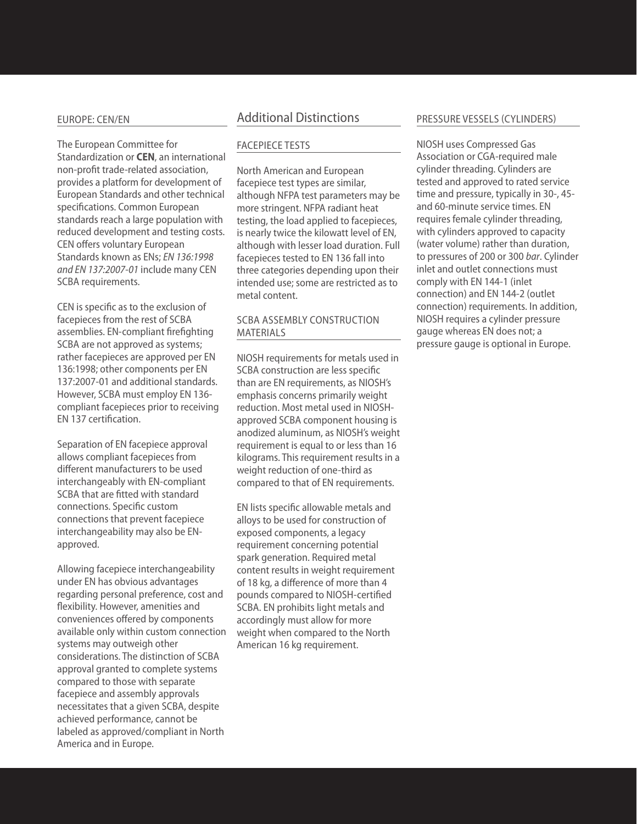The European Committee for Standardization or **CEN**, an international non-profit trade-related association, provides a platform for development of European Standards and other technical specifications. Common European standards reach a large population with reduced development and testing costs. CEN offers voluntary European Standards known as ENs; EN 136:1998 and EN 137:2007-01 include many CEN SCBA requirements.

CEN is specific as to the exclusion of facepieces from the rest of SCBA assemblies. EN-compliant firefighting SCBA are not approved as systems; rather facepieces are approved per EN 136:1998; other components per EN 137:2007-01 and additional standards. However, SCBA must employ EN 136 compliant facepieces prior to receiving EN 137 certification.

Separation of EN facepiece approval allows compliant facepieces from different manufacturers to be used interchangeably with EN-compliant SCBA that are fitted with standard connections. Specific custom connections that prevent facepiece interchangeability may also be ENapproved.

Allowing facepiece interchangeability under EN has obvious advantages regarding personal preference, cost and flexibility. However, amenities and conveniences offered by components available only within custom connection systems may outweigh other considerations. The distinction of SCBA approval granted to complete systems compared to those with separate facepiece and assembly approvals necessitates that a given SCBA, despite achieved performance, cannot be labeled as approved/compliant in North America and in Europe.

### Additional Distinctions

#### FACEPIECE TESTS

North American and European facepiece test types are similar, although NFPA test parameters may be more stringent. NFPA radiant heat testing, the load applied to facepieces, is nearly twice the kilowatt level of EN, although with lesser load duration. Full facepieces tested to EN 136 fall into three categories depending upon their intended use; some are restricted as to metal content.

#### SCBA ASSEMBLY CONSTRUCTION MATERIALS

NIOSH requirements for metals used in SCBA construction are less specific than are EN requirements, as NIOSH's emphasis concerns primarily weight reduction. Most metal used in NIOSHapproved SCBA component housing is anodized aluminum, as NIOSH's weight requirement is equal to or less than 16 kilograms. This requirement results in a weight reduction of one-third as compared to that of EN requirements.

EN lists specific allowable metals and alloys to be used for construction of exposed components, a legacy requirement concerning potential spark generation. Required metal content results in weight requirement of 18 kg, a difference of more than 4 pounds compared to NIOSH-certified SCBA. EN prohibits light metals and accordingly must allow for more weight when compared to the North American 16 kg requirement.

#### PRESSURE VESSELS (CYLINDERS)

NIOSH uses Compressed Gas Association or CGA-required male cylinder threading. Cylinders are tested and approved to rated service time and pressure, typically in 30-, 45 and 60-minute service times. EN requires female cylinder threading, with cylinders approved to capacity (water volume) rather than duration, to pressures of 200 or 300 bar. Cylinder inlet and outlet connections must comply with EN 144-1 (inlet connection) and EN 144-2 (outlet connection) requirements. In addition, NIOSH requires a cylinder pressure gauge whereas EN does not; a pressure gauge is optional in Europe.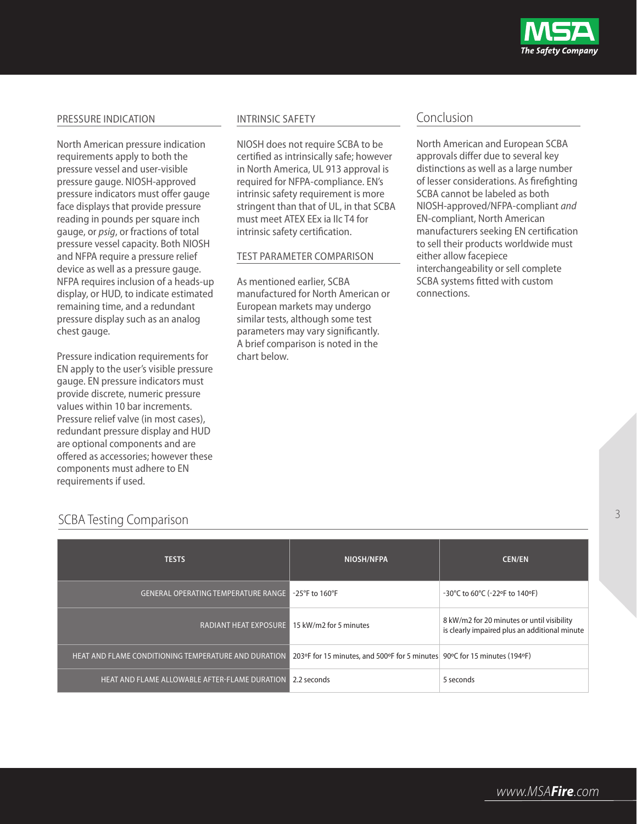

#### PRESSURE INDICATION

North American pressure indication requirements apply to both the pressure vessel and user-visible pressure gauge. NIOSH-approved pressure indicators must offer gauge face displays that provide pressure reading in pounds per square inch gauge, or psig, or fractions of total pressure vessel capacity. Both NIOSH and NFPA require a pressure relief device as well as a pressure gauge. NFPA requires inclusion of a heads-up display, or HUD, to indicate estimated remaining time, and a redundant pressure display such as an analog chest gauge.

Pressure indication requirements for EN apply to the user's visible pressure gauge. EN pressure indicators must provide discrete, numeric pressure values within 10 bar increments. Pressure relief valve (in most cases), redundant pressure display and HUD are optional components and are offered as accessories; however these components must adhere to EN requirements if used.

#### INTRINSIC SAFETY

NIOSH does not require SCBA to be certified as intrinsically safe; however in North America, UL 913 approval is required for NFPA-compliance. EN's intrinsic safety requirement is more stringent than that of UL, in that SCBA must meet ATEX EEx ia IIc T4 for intrinsic safety certification.

#### TEST PARAMETER COMPARISON

As mentioned earlier, SCBA manufactured for North American or European markets may undergo similar tests, although some test parameters may vary significantly. A brief comparison is noted in the chart below.

## <u>concerned</u>

North American and European SCBA approvals differ due to several key distinctions as well as a large number of lesser considerations. As firefighting SCBA cannot be labeled as both NIOSH-approved/NFPA-compliant and EN-compliant, North American manufacturers seeking EN certification to sell their products worldwide must either allow facepiece interchangeability or sell complete SCBA systems fitted with custom connections.

| .                                                    |                                                                           |                                                                                             |
|------------------------------------------------------|---------------------------------------------------------------------------|---------------------------------------------------------------------------------------------|
|                                                      |                                                                           |                                                                                             |
| <b>TESTS</b>                                         | NIOSH/NFPA                                                                | <b>CEN/EN</b>                                                                               |
| <b>GENERAL OPERATING TEMPERATURE RANGE</b>           | $-25^{\circ}$ F to 160 $^{\circ}$ F                                       | -30°C to 60°C (-22°F to 140°F)                                                              |
| RADIANT HEAT EXPOSURE 15 kW/m2 for 5 minutes         |                                                                           | 8 kW/m2 for 20 minutes or until visibility<br>is clearly impaired plus an additional minute |
| HEAT AND FLAME CONDITIONING TEMPERATURE AND DURATION | 203°F for 15 minutes, and 500°F for 5 minutes 90°C for 15 minutes (194°F) |                                                                                             |
| HEAT AND FLAME ALLOWABLE AFTER-FLAME DURATION        | 2.2 seconds                                                               | 5 seconds                                                                                   |